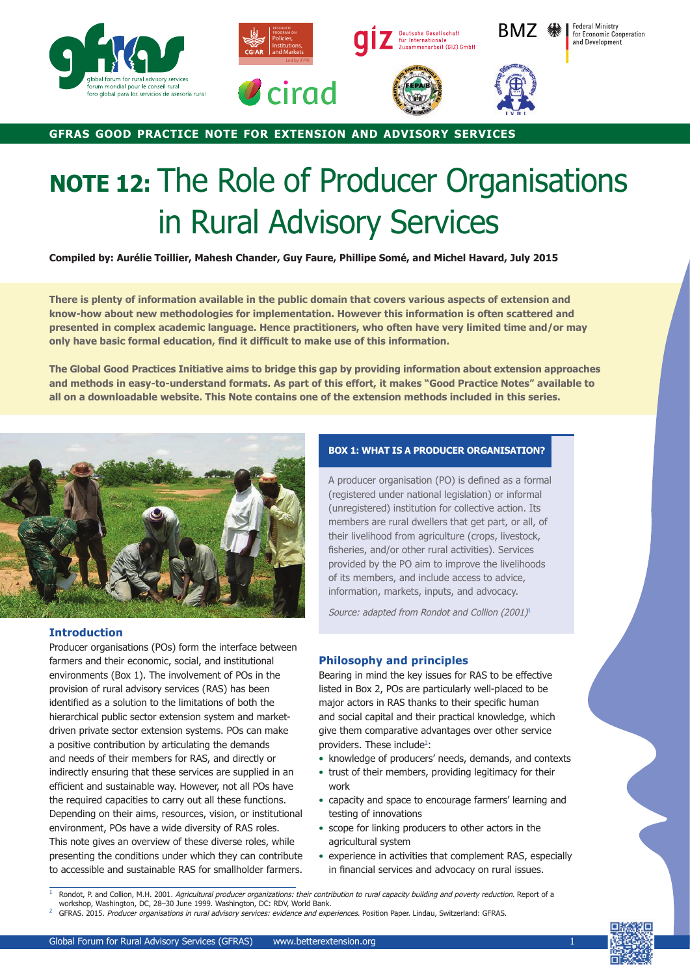







**GFRAS GOOD PRACTICE NOTE FOR EXTENSION AND ADVISORY SERVICES**

# **NOTE 12:** The Role of Producer Organisations in Rural Advisory Services

**Compiled by: Aurélie Toillier, Mahesh Chander, Guy Faure, Phillipe Somé, and Michel Havard, July 2015**

**There is plenty of information available in the public domain that covers various aspects of extension and know-how about new methodologies for implementation. However this information is often scattered and presented in complex academic language. Hence practitioners, who often have very limited time and/or may**  only have basic formal education, find it difficult to make use of this information.

**The Global Good Practices Initiative aims to bridge this gap by providing information about extension approaches and methods in easy-to-understand formats. As part of this effort, it makes "Good Practice Notes" available to all on a downloadable website. This Note contains one of the extension methods included in this series.**



## **Introduction**

Producer organisations (POs) form the interface between farmers and their economic, social, and institutional environments (Box 1). The involvement of POs in the provision of rural advisory services (RAS) has been identified as a solution to the limitations of both the hierarchical public sector extension system and marketdriven private sector extension systems. POs can make a positive contribution by articulating the demands and needs of their members for RAS, and directly or indirectly ensuring that these services are supplied in an efficient and sustainable way. However, not all POs have the required capacities to carry out all these functions. Depending on their aims, resources, vision, or institutional environment, POs have a wide diversity of RAS roles. This note gives an overview of these diverse roles, while presenting the conditions under which they can contribute to accessible and sustainable RAS for smallholder farmers.

# **BOX 1: WHAT IS A PRODUCER ORGANISATION?**

A producer organisation (PO) is defined as a formal (registered under national legislation) or informal (unregistered) institution for collective action. Its members are rural dwellers that get part, or all, of their livelihood from agriculture (crops, livestock, fisheries, and/or other rural activities). Services provided by the PO aim to improve the livelihoods of its members, and include access to advice, information, markets, inputs, and advocacy.

Source: adapted from Rondot and Collion (2001)<sup>1</sup>

# **Philosophy and principles**

Bearing in mind the key issues for RAS to be effective listed in Box 2, POs are particularly well-placed to be major actors in RAS thanks to their specific human and social capital and their practical knowledge, which give them comparative advantages over other service providers. These include<sup>2</sup>:

- knowledge of producers' needs, demands, and contexts
- trust of their members, providing legitimacy for their work
- capacity and space to encourage farmers' learning and testing of innovations
- scope for linking producers to other actors in the agricultural system
- experience in activities that complement RAS, especially in financial services and advocacy on rural issues.



Rondot, P. and Collion, M.H. 2001. Agricultural producer organizations: their contribution to rural capacity building and poverty reduction. Report of a workshop, Washington, DC, 28-30 June 1999. Washington, DC: RDV, World Bank.

<sup>2</sup> GFRAS.2015.Producer organisations in rural advisory services: evidence and experiences. Position Paper. Lindau, Switzerland: GFRAS.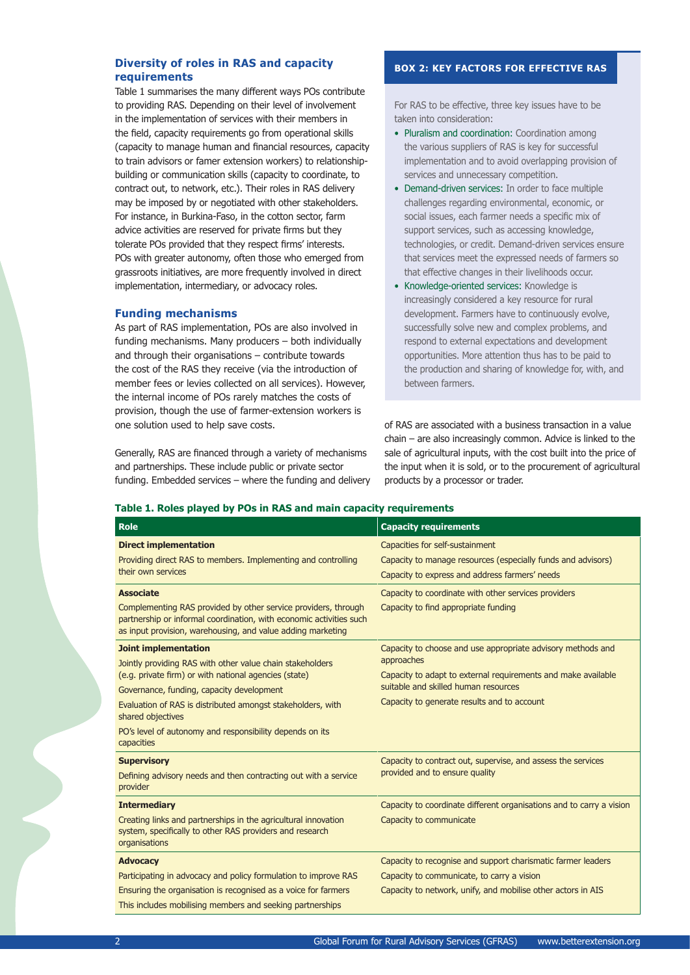# **Diversity of roles in RAS and capacity requirements**

Table 1 summarises the many different ways POs contribute to providing RAS. Depending on their level of involvement in the implementation of services with their members in the field, capacity requirements go from operational skills (capacity to manage human and financial resources, capacity to train advisors or famer extension workers) to relationshipbuilding or communication skills (capacity to coordinate, to contract out, to network, etc.). Their roles in RAS delivery may be imposed by or negotiated with other stakeholders. For instance, in Burkina-Faso, in the cotton sector, farm advice activities are reserved for private firms but they tolerate POs provided that they respect firms' interests. POs with greater autonomy, often those who emerged from grassroots initiatives, are more frequently involved in direct implementation, intermediary, or advocacy roles.

## **Funding mechanisms**

As part of RAS implementation, POs are also involved in funding mechanisms. Many producers – both individually and through their organisations – contribute towards the cost of the RAS they receive (via the introduction of member fees or levies collected on all services). However, the internal income of POs rarely matches the costs of provision, though the use of farmer-extension workers is one solution used to help save costs.

Generally, RAS are financed through a variety of mechanisms and partnerships. These include public or private sector funding. Embedded services – where the funding and delivery

## **BOX 2: KEY FACTORS FOR EFFECTIVE RAS**

For RAS to be effective, three key issues have to be taken into consideration:

- Pluralism and coordination: Coordination among the various suppliers of RAS is key for successful implementation and to avoid overlapping provision of services and unnecessary competition.
- Demand-driven services: In order to face multiple challenges regarding environmental, economic, or social issues, each farmer needs a specific mix of support services, such as accessing knowledge, technologies, or credit. Demand-driven services ensure that services meet the expressed needs of farmers so that effective changes in their livelihoods occur.
- Knowledge-oriented services: Knowledge is increasingly considered a key resource for rural development. Farmers have to continuously evolve, successfully solve new and complex problems, and respond to external expectations and development opportunities. More attention thus has to be paid to the production and sharing of knowledge for, with, and between farmers.

of RAS are associated with a business transaction in a value chain – are also increasingly common. Advice is linked to the sale of agricultural inputs, with the cost built into the price of the input when it is sold, or to the procurement of agricultural products by a processor or trader.

## **Table 1. Roles played by POs in RAS and main capacity requirements**

| <b>Role</b>                                                                                                                                                                                                                                                                                                                                                  | <b>Capacity requirements</b>                                                                                                                                                                                                      |
|--------------------------------------------------------------------------------------------------------------------------------------------------------------------------------------------------------------------------------------------------------------------------------------------------------------------------------------------------------------|-----------------------------------------------------------------------------------------------------------------------------------------------------------------------------------------------------------------------------------|
| <b>Direct implementation</b><br>Providing direct RAS to members. Implementing and controlling<br>their own services                                                                                                                                                                                                                                          | Capacities for self-sustainment<br>Capacity to manage resources (especially funds and advisors)<br>Capacity to express and address farmers' needs                                                                                 |
| <b>Associate</b><br>Complementing RAS provided by other service providers, through<br>partnership or informal coordination, with economic activities such<br>as input provision, warehousing, and value adding marketing                                                                                                                                     | Capacity to coordinate with other services providers<br>Capacity to find appropriate funding                                                                                                                                      |
| <b>Joint implementation</b><br>Jointly providing RAS with other value chain stakeholders<br>(e.g. private firm) or with national agencies (state)<br>Governance, funding, capacity development<br>Evaluation of RAS is distributed amongst stakeholders, with<br>shared objectives<br>PO's level of autonomy and responsibility depends on its<br>capacities | Capacity to choose and use appropriate advisory methods and<br>approaches<br>Capacity to adapt to external requirements and make available<br>suitable and skilled human resources<br>Capacity to generate results and to account |
| <b>Supervisory</b><br>Defining advisory needs and then contracting out with a service<br>provider                                                                                                                                                                                                                                                            | Capacity to contract out, supervise, and assess the services<br>provided and to ensure quality                                                                                                                                    |
| <b>Intermediary</b><br>Creating links and partnerships in the agricultural innovation<br>system, specifically to other RAS providers and research<br>organisations                                                                                                                                                                                           | Capacity to coordinate different organisations and to carry a vision<br>Capacity to communicate                                                                                                                                   |
| <b>Advocacy</b><br>Participating in advocacy and policy formulation to improve RAS<br>Ensuring the organisation is recognised as a voice for farmers<br>This includes mobilising members and seeking partnerships                                                                                                                                            | Capacity to recognise and support charismatic farmer leaders<br>Capacity to communicate, to carry a vision<br>Capacity to network, unify, and mobilise other actors in AIS                                                        |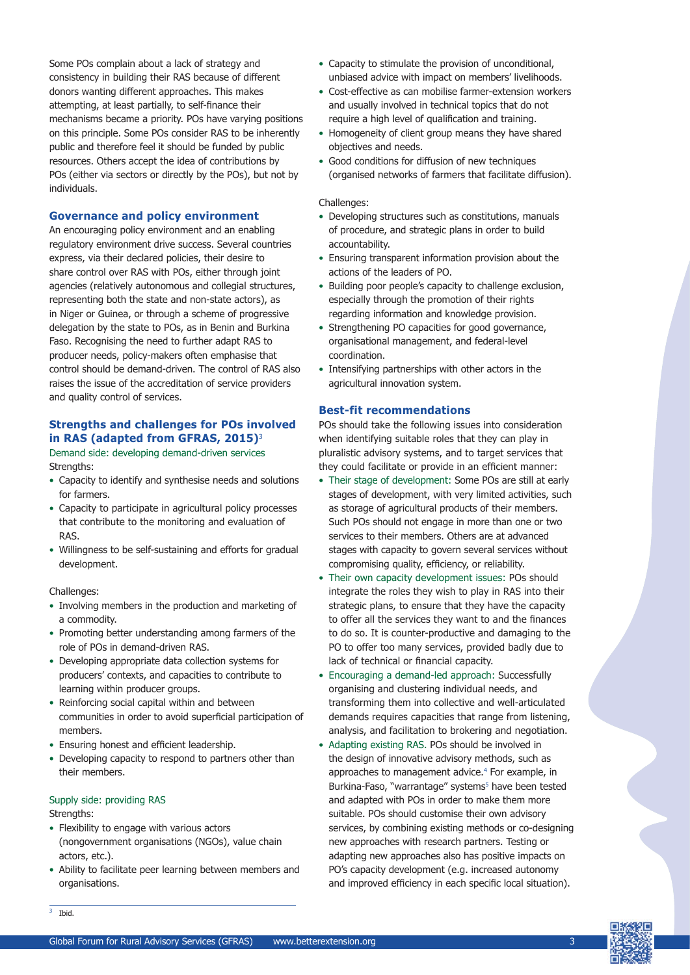Some POs complain about a lack of strategy and consistency in building their RAS because of different donors wanting different approaches. This makes attempting, at least partially, to self-finance their mechanisms became a priority. POs have varying positions on this principle. Some POs consider RAS to be inherently public and therefore feel it should be funded by public resources. Others accept the idea of contributions by POs (either via sectors or directly by the POs), but not by individuals.

# **Governance and policy environment**

An encouraging policy environment and an enabling regulatory environment drive success. Several countries express, via their declared policies, their desire to share control over RAS with POs, either through joint agencies (relatively autonomous and collegial structures, representing both the state and non-state actors), as in Niger or Guinea, or through a scheme of progressive delegation by the state to POs, as in Benin and Burkina Faso. Recognising the need to further adapt RAS to producer needs, policy-makers often emphasise that control should be demand-driven. The control of RAS also raises the issue of the accreditation of service providers and quality control of services.

# **Strengths and challenges for POs involved in RAS (adapted from GFRAS, 2015)**<sup>3</sup>

Demand side: developing demand-driven services Strengths:

- Capacity to identify and synthesise needs and solutions for farmers.
- Capacity to participate in agricultural policy processes that contribute to the monitoring and evaluation of RAS.
- Willingness to be self-sustaining and efforts for gradual development.

#### Challenges:

- Involving members in the production and marketing of a commodity.
- Promoting better understanding among farmers of the role of POs in demand-driven RAS.
- Developing appropriate data collection systems for producers' contexts, and capacities to contribute to learning within producer groups.
- Reinforcing social capital within and between communities in order to avoid superficial participation of members.
- Ensuring honest and efficient leadership.
- Developing capacity to respond to partners other than their members.

## Supply side: providing RAS Strengths:

- Flexibility to engage with various actors (nongovernment organisations (NGOs), value chain actors, etc.).
- Ability to facilitate peer learning between members and organisations.
- Capacity to stimulate the provision of unconditional, unbiased advice with impact on members' livelihoods.
- Cost-effective as can mobilise farmer-extension workers and usually involved in technical topics that do not require a high level of qualification and training.
- Homogeneity of client group means they have shared objectives and needs.
- Good conditions for diffusion of new techniques (organised networks of farmers that facilitate diffusion).

## Challenges:

- Developing structures such as constitutions, manuals of procedure, and strategic plans in order to build accountability.
- Ensuring transparent information provision about the actions of the leaders of PO.
- Building poor people's capacity to challenge exclusion, especially through the promotion of their rights regarding information and knowledge provision.
- Strengthening PO capacities for good governance, organisational management, and federal-level coordination.
- Intensifying partnerships with other actors in the agricultural innovation system.

# **Best-fit recommendations**

POs should take the following issues into consideration when identifying suitable roles that they can play in pluralistic advisory systems, and to target services that they could facilitate or provide in an efficient manner:

- Their stage of development: Some POs are still at early stages of development, with very limited activities, such as storage of agricultural products of their members. Such POs should not engage in more than one or two services to their members. Others are at advanced stages with capacity to govern several services without compromising quality, efficiency, or reliability.
- Their own capacity development issues: POs should integrate the roles they wish to play in RAS into their strategic plans, to ensure that they have the capacity to offer all the services they want to and the finances to do so. It is counter-productive and damaging to the PO to offer too many services, provided badly due to lack of technical or financial capacity.
- Encouraging a demand-led approach: Successfully organising and clustering individual needs, and transforming them into collective and well-articulated demands requires capacities that range from listening, analysis, and facilitation to brokering and negotiation.
- Adapting existing RAS. POs should be involved in the design of innovative advisory methods, such as approaches to management advice.<sup>4</sup> For example, in Burkina-Faso, "warrantage" systems<sup>5</sup> have been tested and adapted with POs in order to make them more suitable. POs should customise their own advisory services, by combining existing methods or co-designing new approaches with research partners. Testing or adapting new approaches also has positive impacts on PO's capacity development (e.g. increased autonomy and improved efficiency in each specific local situation).